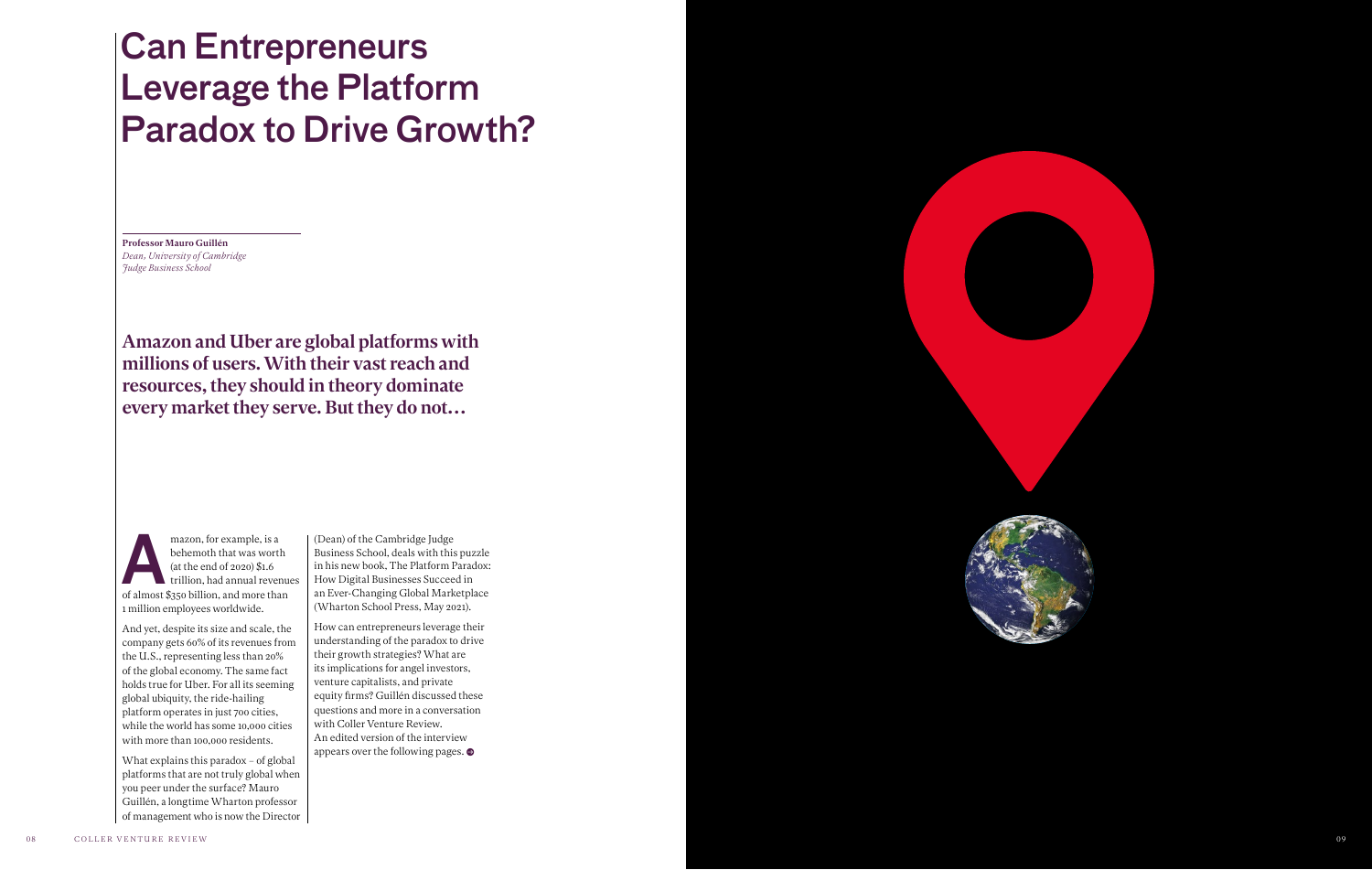mazon, for example, is a<br>
behemoth that was worth<br>
(at the end of 2020) \$1.6<br>
trillion, had annual revenue<br>
of almost \$350 billion, and more than behemoth that was worth (at the end of 2020) \$1.6 trillion, had annual revenues 1 million employees worldwide.

And yet, despite its size and scale, the company gets 60% of its revenues from the U.S., representing less than 20% of the global economy. The same fact holds true for Uber. For all its seeming global ubiquity, the ride-hailing platform operates in just 700 cities, while the world has some 10,000 cities with more than 100,000 residents.

What explains this paradox – of global platforms that are not truly global when you peer under the surface? Mauro Guillén, a longtime Wharton professor of management who is now the Director (Dean) of the Cambridge Judge Business School, deals with this puzzle in his new book, The Platform Paradox: How Digital Businesses Succeed in an Ever-Changing Global Marketplace (Wharton School Press, May 2021).

How can entrepreneurs leverage their understanding of the paradox to drive their growth strategies? What are its implications for angel investors, venture capitalists, and private equity firms? Guillén discussed these questions and more in a conversation with Coller Venture Review. An edited version of the interview appears over the following pages. •

# Can Entrepreneurs Leverage the Platform Paradox to Drive Growth?

Professor Mauro Guillén *Dean, University of Cambridge Judge Business School*

Amazon and Uber are global platforms with millions of users. With their vast reach and resources, they should in theory dominate every market they serve. But they do not…

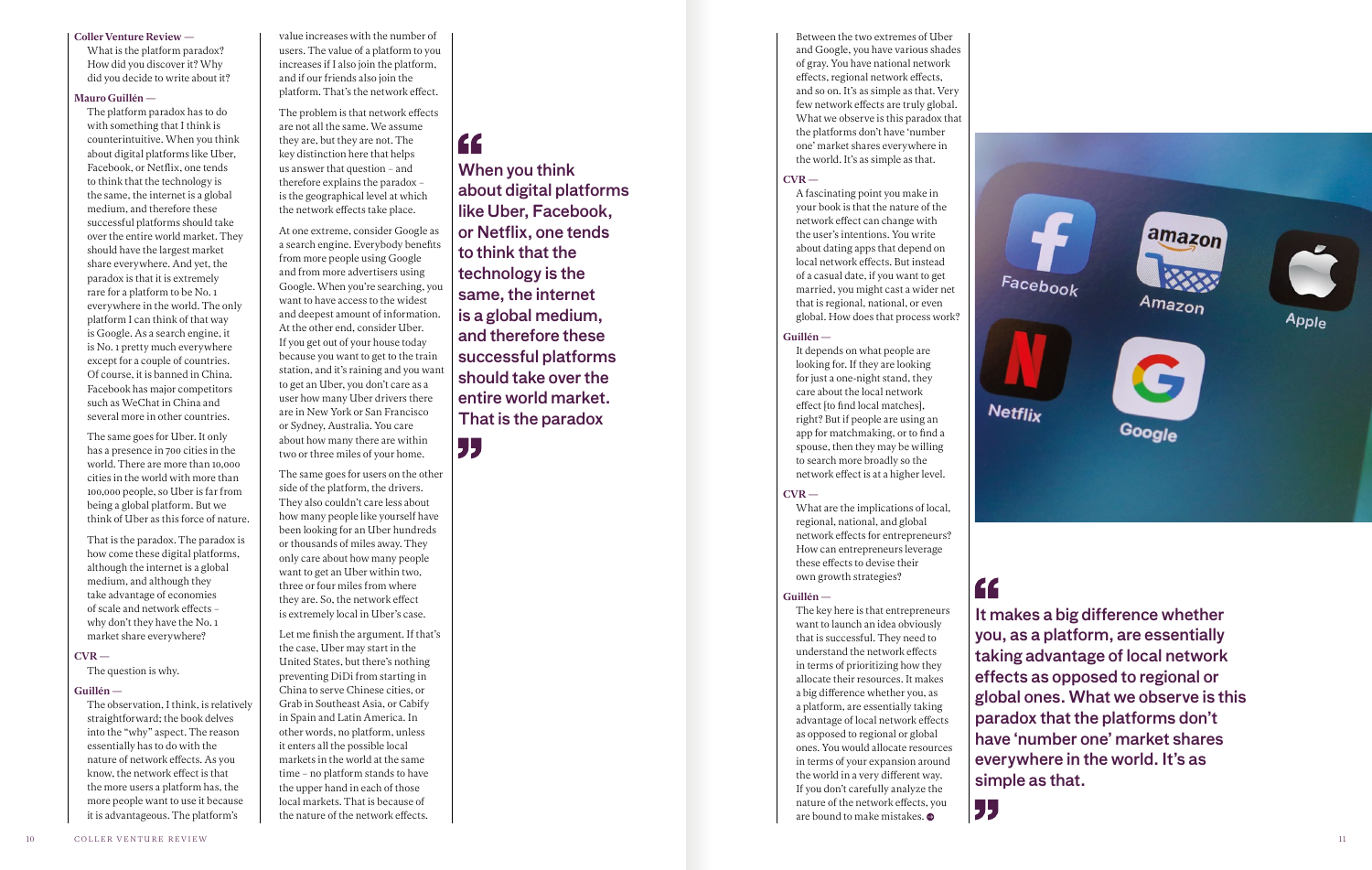#### Coller Venture Review —

What is the platform paradox? How did you discover it? Why did you decide to write about it?

#### Mauro Guillén —

The platform paradox has to do with something that I think is counterintuitive. When you think about digital platforms like Uber, Facebook, or Netflix, one tends to think that the technology is the same, the internet is a global medium, and therefore these successful platforms should take over the entire world market. They should have the largest market share everywhere. And yet, the paradox is that it is extremely rare for a platform to be No. 1 everywhere in the world. The only platform I can think of that way is Google. As a search engine, it is No. 1 pretty much everywhere except for a couple of countries. Of course, it is banned in China. Facebook has major competitors such as WeChat in China and several more in other countries.

The same goes for Uber. It only has a presence in 700 cities in the world. There are more than 10,000 cities in the world with more than 100,000 people, so Uber is far from being a global platform. But we think of Uber as this force of nature.

That is the paradox. The paradox is how come these digital platforms, although the internet is a global medium, and although they take advantage of economies of scale and network effects – why don't they have the No. 1 market share everywhere?

#### $CVR -$

The question is why.

#### Guillén —

The observation, I think, is relatively straightforward; the book delves into the "why" aspect. The reason essentially has to do with the nature of network effects. As you know, the network effect is that the more users a platform has, the more people want to use it because it is advantageous. The platform's

Between the two extremes of Uber and Google, you have various shades of gray. You have national network effects, regional network effects, and so on. It's as simple as that. Very few network effects are truly global. What we observe is this paradox that the platforms don't have 'number one' market shares everywhere in the world. It's as simple as that.

#### $CVR$  —

A fascinating point you make in your book is that the nature of the network effect can change with the user's intentions. You write about dating apps that depend on local network effects. But instead of a casual date, if you want to get married, you might cast a wider net that is regional, national, or even global. How does that process work?

#### Guillén —

It depends on what people are looking for. If they are looking for just a one-night stand, they care about the local network effect [to find local matches], right? But if people are using an app for matchmaking, or to find a spouse, then they may be willing to search more broadly so the network effect is at a higher level.

#### $CVR -$

What are the implications of local, regional, national, and global network effects for entrepreneurs? How can entrepreneurs leverage these effects to devise their own growth strategies?

#### Guillén —

" simple as that.



The key here is that entrepreneurs want to launch an idea obviously that is successful. They need to understand the network effects in terms of prioritizing how they allocate their resources. It makes a big difference whether you, as a platform, are essentially taking advantage of local network effects as opposed to regional or global ones. You would allocate resources in terms of your expansion around the world in a very different way. If you don't carefully analyze the nature of the network effects, you are bound to make mistakes. •

value increases with the number of users. The value of a platform to you increases if I also join the platform, and if our friends also join the platform. That's the network effect.

The problem is that network effects are not all the same. We assume they are, but they are not. The key distinction here that helps us answer that question – and therefore explains the paradox – is the geographical level at which

the network effects take place.

At one extreme, consider Google as a search engine. Everybody benefits from more people using Google and from more advertisers using Google. When you're searching, you want to have access to the widest and deepest amount of information. At the other end, consider Uber. If you get out of your house today because you want to get to the train station, and it's raining and you want to get an Uber, you don't care as a user how many Uber drivers there are in New York or San Francisco or Sydney, Australia. You care about how many there are within two or three miles of your home.

The same goes for users on the other side of the platform, the drivers. They also couldn't care less about how many people like yourself have been looking for an Uber hundreds or thousands of miles away. They only care about how many people want to get an Uber within two, three or four miles from where they are. So, the network effect is extremely local in Uber's case.

Let me finish the argument. If that's the case, Uber may start in the United States, but there's nothing preventing DiDi from starting in China to serve Chinese cities, or Grab in Southeast Asia, or Cabify in Spain and Latin America. In other words, no platform, unless it enters all the possible local markets in the world at the same time – no platform stands to have the upper hand in each of those local markets. That is because of the nature of the network effects.

### "

"

When you think about digital platforms like Uber, Facebook, or Netflix, one tends to think that the technology is the same, the internet is a global medium, and therefore these successful platforms should take over the entire world market. That is the paradox

> It makes a big difference whether you, as a platform, are essentially taking advantage of local network effects as opposed to regional or global ones. What we observe is this paradox that the platforms don't have 'number one' market shares everywhere in the world. It's as

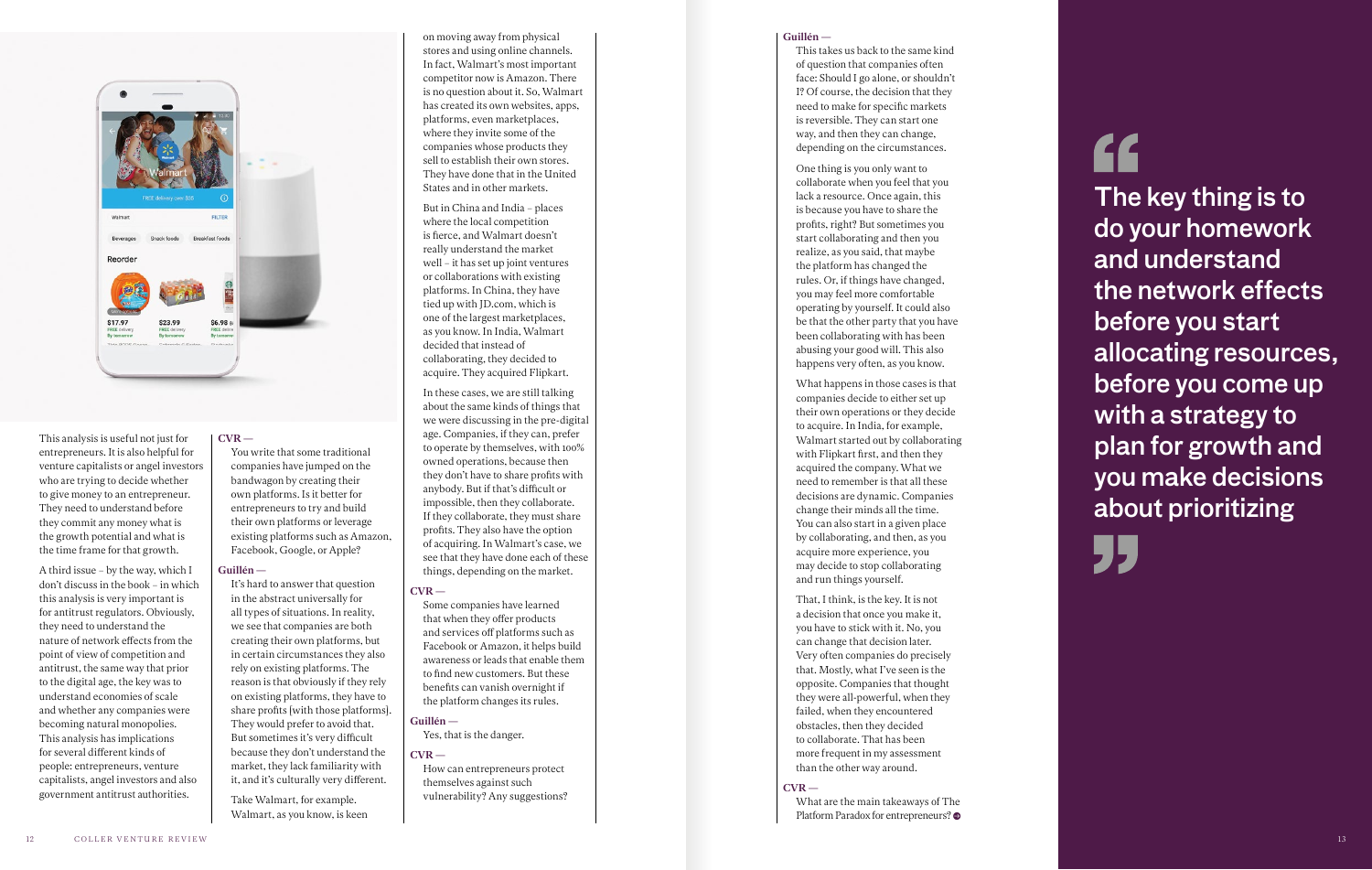on moving away from physical stores and using online channels. In fact, Walmart's most important competitor now is Amazon. There is no question about it. So, Walmart has created its own websites, apps, platforms, even marketplaces, where they invite some of the companies whose products they sell to establish their own stores. They have done that in the United States and in other markets.

But in China and India – places where the local competition is fierce, and Walmart doesn't really understand the market well – it has set up joint ventures or collaborations with existing platforms. In China, they have tied up with JD.com, which is one of the largest marketplaces, as you know. In India, Walmart decided that instead of collaborating, they decided to acquire. They acquired Flipkart.

In these cases, we are still talking about the same kinds of things that we were discussing in the pre-digital age. Companies, if they can, prefer to operate by themselves, with 100% owned operations, because then they don't have to share profits with anybody. But if that's difficult or impossible, then they collaborate. If they collaborate, they must share profits. They also have the option of acquiring. In Walmart's case, we see that they have done each of these things, depending on the market.

#### $CVR -$

Some companies have learned that when they offer products and services off platforms such as Facebook or Amazon, it helps build awareness or leads that enable them to find new customers. But these benefits can vanish overnight if the platform changes its rules.

#### Guillén —

Yes, that is the danger.

#### $CVR -$

How can entrepreneurs protect themselves against such vulnerability? Any suggestions?

You write that some traditional companies have jumped on the bandwagon by creating their own platforms. Is it better for entrepreneurs to try and build their own platforms or leverage existing platforms such as Amazon, Facebook, Google, or Apple?

#### Guillén —

It's hard to answer that question in the abstract universally for all types of situations. In reality, we see that companies are both creating their own platforms, but in certain circumstances they also rely on existing platforms. The reason is that obviously if they rely on existing platforms, they have to share profits [with those platforms]. They would prefer to avoid that. But sometimes it's very difficult because they don't understand the market, they lack familiarity with it, and it's culturally very different.

Take Walmart, for example. Walmart, as you know, is keen What are the main takeaways of The Platform Paradox for entrepreneurs?



This analysis is useful not just for entrepreneurs. It is also helpful for venture capitalists or angel investors who are trying to decide whether to give money to an entrepreneur. They need to understand before they commit any money what is the growth potential and what is the time frame for that growth.

## " The key thing is to do your homework and understand the network effects before you start allocating resources, before you come up with a strategy to plan for growth and you make decisions about prioritizing



A third issue – by the way, which I don't discuss in the book – in which this analysis is very important is for antitrust regulators. Obviously, they need to understand the nature of network effects from the point of view of competition and antitrust, the same way that prior to the digital age, the key was to understand economies of scale and whether any companies were becoming natural monopolies. This analysis has implications for several different kinds of people: entrepreneurs, venture capitalists, angel investors and also government antitrust authorities.

#### $CVR -$

#### Guillén —

This takes us back to the same kind of question that companies often face: Should I go alone, or shouldn't I? Of course, the decision that they need to make for specific markets is reversible. They can start one way, and then they can change, depending on the circumstances.

One thing is you only want to collaborate when you feel that you lack a resource. Once again, this is because you have to share the profits, right? But sometimes you start collaborating and then you realize, as you said, that maybe the platform has changed the rules. Or, if things have changed, you may feel more comfortable operating by yourself. It could also be that the other party that you have been collaborating with has been abusing your good will. This also happens very often, as you know.

What happens in those cases is that companies decide to either set up their own operations or they decide to acquire. In India, for example, Walmart started out by collaborating with Flipkart first, and then they acquired the company. What we need to remember is that all these decisions are dynamic. Companies change their minds all the time. You can also start in a given place by collaborating, and then, as you acquire more experience, you may decide to stop collaborating and run things yourself.

That, I think, is the key. It is not a decision that once you make it, you have to stick with it. No, you can change that decision later. Very often companies do precisely that. Mostly, what I've seen is the opposite. Companies that thought they were all-powerful, when they failed, when they encountered obstacles, then they decided to collaborate. That has been more frequent in my assessment than the other way around.

#### $CVR -$